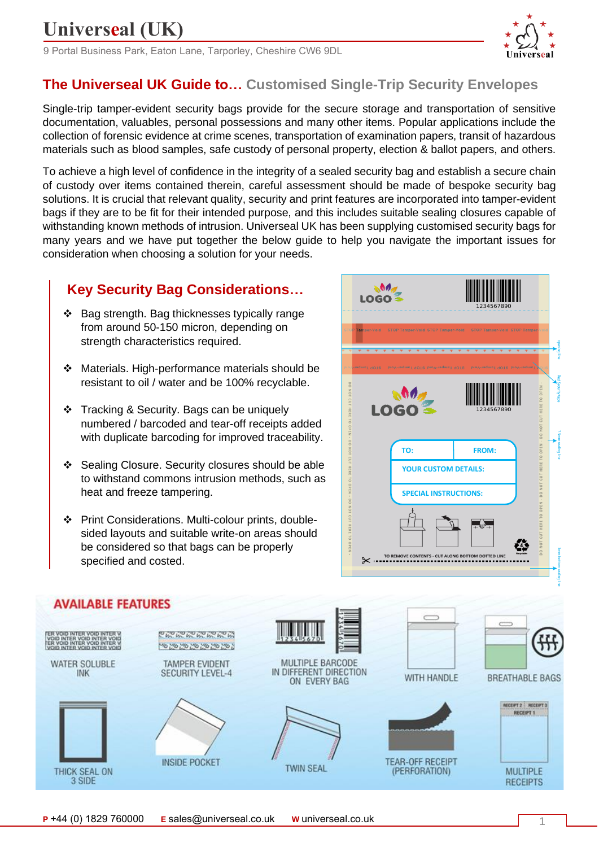9 Portal Business Park, Eaton Lane, Tarporley, Cheshire CW6 9DL



### **The Universeal UK Guide to… Customised Single-Trip Security Envelopes**

Single-trip tamper-evident security bags provide for the secure storage and transportation of sensitive documentation, valuables, personal possessions and many other items. Popular applications include the collection of forensic evidence at crime scenes, transportation of examination papers, transit of hazardous materials such as blood samples, safe custody of personal property, election & ballot papers, and others.

To achieve a high level of confidence in the integrity of a sealed security bag and establish a secure chain of custody over items contained therein, careful assessment should be made of bespoke security bag solutions. It is crucial that relevant quality, security and print features are incorporated into tamper-evident bags if they are to be fit for their intended purpose, and this includes suitable sealing closures capable of withstanding known methods of intrusion. Universeal UK has been supplying customised security bags for many years and we have put together the below guide to help you navigate the important issues for consideration when choosing a solution for your needs.

### **Key Security Bag Considerations…**

- ❖ Bag strength. Bag thicknesses typically range from around 50-150 micron, depending on strength characteristics required.
- ❖ Materials. High-performance materials should be resistant to oil / water and be 100% recyclable.
- ❖ Tracking & Security. Bags can be uniquely numbered / barcoded and tear-off receipts added with duplicate barcoding for improved traceability.
- ❖ Sealing Closure. Security closures should be able to withstand commons intrusion methods, such as heat and freeze tampering.
- ❖ Print Considerations. Multi-colour prints, doublesided layouts and suitable write-on areas should be considered so that bags can be properly specified and costed.





1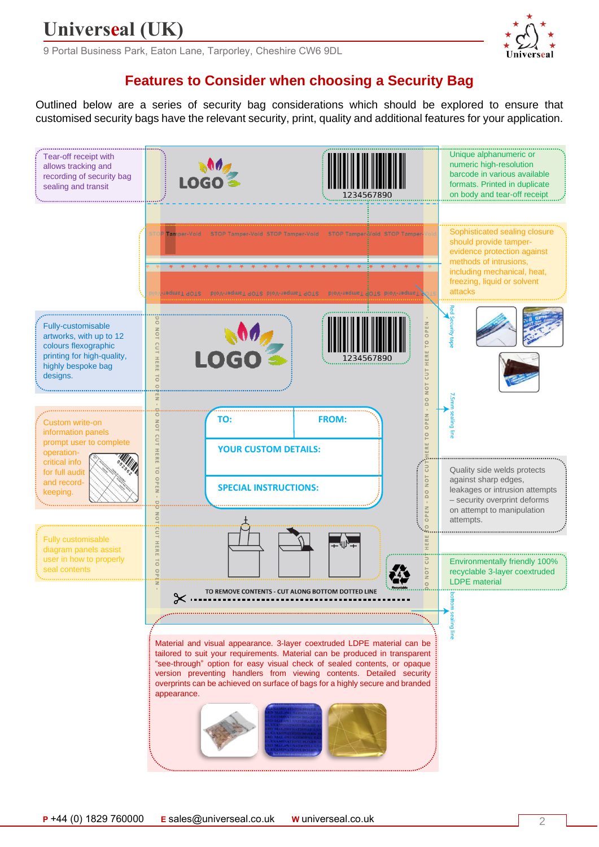9 Portal Business Park, Eaton Lane, Tarporley, Cheshire CW6 9DL

### **Features to Consider when choosing a Security Bag**

Outlined below are a series of security bag considerations which should be explored to ensure that customised security bags have the relevant security, print, quality and additional features for your application.

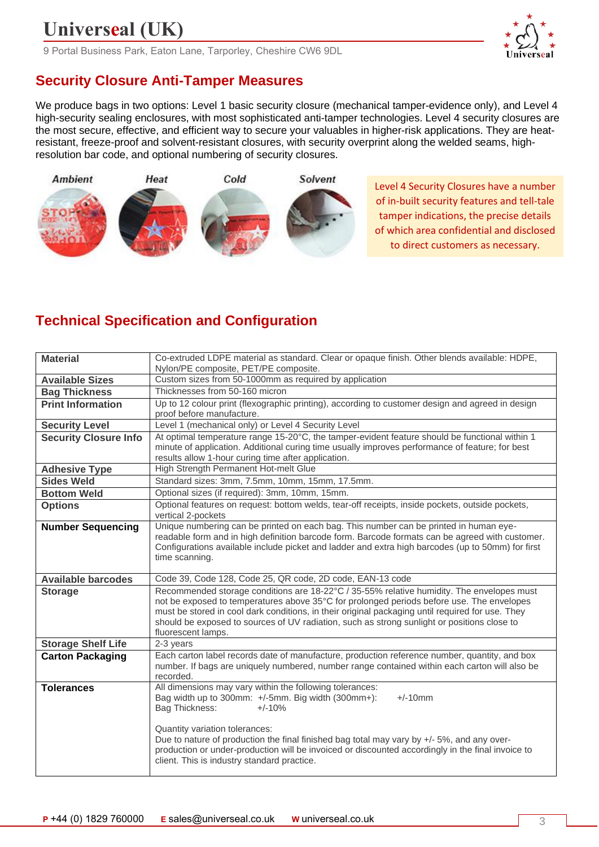9 Portal Business Park, Eaton Lane, Tarporley, Cheshire CW6 9DL

## **Security Closure Anti-Tamper Measures**

We produce bags in two options: Level 1 basic security closure (mechanical tamper-evidence only), and Level 4 high-security sealing enclosures, with most sophisticated anti-tamper technologies. Level 4 security closures are the most secure, effective, and efficient way to secure your valuables in higher-risk applications. They are heatresistant, freeze-proof and solvent-resistant closures, with security overprint along the welded seams, highresolution bar code, and optional numbering of security closures.



Level 4 Security Closures have a number of in-built security features and tell-tale tamper indications, the precise details of which area confidential and disclosed to direct customers as necessary.

## **Technical Specification and Configuration**

| Co-extruded LDPE material as standard. Clear or opaque finish. Other blends available: HDPE,                                                                                                                                                                                                                                                                                                                                                   |
|------------------------------------------------------------------------------------------------------------------------------------------------------------------------------------------------------------------------------------------------------------------------------------------------------------------------------------------------------------------------------------------------------------------------------------------------|
| Nylon/PE composite, PET/PE composite.<br>Custom sizes from 50-1000mm as required by application                                                                                                                                                                                                                                                                                                                                                |
| Thicknesses from 50-160 micron                                                                                                                                                                                                                                                                                                                                                                                                                 |
|                                                                                                                                                                                                                                                                                                                                                                                                                                                |
| Up to 12 colour print (flexographic printing), according to customer design and agreed in design<br>proof before manufacture.                                                                                                                                                                                                                                                                                                                  |
| Level 1 (mechanical only) or Level 4 Security Level                                                                                                                                                                                                                                                                                                                                                                                            |
| At optimal temperature range 15-20°C, the tamper-evident feature should be functional within 1<br>minute of application. Additional curing time usually improves performance of feature; for best<br>results allow 1-hour curing time after application.                                                                                                                                                                                       |
| High Strength Permanent Hot-melt Glue                                                                                                                                                                                                                                                                                                                                                                                                          |
| Standard sizes: 3mm, 7.5mm, 10mm, 15mm, 17.5mm.                                                                                                                                                                                                                                                                                                                                                                                                |
| Optional sizes (if required): 3mm, 10mm, 15mm.                                                                                                                                                                                                                                                                                                                                                                                                 |
| Optional features on request: bottom welds, tear-off receipts, inside pockets, outside pockets,<br>vertical 2-pockets                                                                                                                                                                                                                                                                                                                          |
| Unique numbering can be printed on each bag. This number can be printed in human eye-<br>readable form and in high definition barcode form. Barcode formats can be agreed with customer.<br>Configurations available include picket and ladder and extra high barcodes (up to 50mm) for first<br>time scanning.                                                                                                                                |
| Code 39, Code 128, Code 25, QR code, 2D code, EAN-13 code                                                                                                                                                                                                                                                                                                                                                                                      |
| Recommended storage conditions are 18-22°C / 35-55% relative humidity. The envelopes must<br>not be exposed to temperatures above 35°C for prolonged periods before use. The envelopes<br>must be stored in cool dark conditions, in their original packaging until required for use. They<br>should be exposed to sources of UV radiation, such as strong sunlight or positions close to<br>fluorescent lamps.                                |
| 2-3 years                                                                                                                                                                                                                                                                                                                                                                                                                                      |
| Each carton label records date of manufacture, production reference number, quantity, and box<br>number. If bags are uniquely numbered, number range contained within each carton will also be<br>recorded.                                                                                                                                                                                                                                    |
| All dimensions may vary within the following tolerances:<br>Bag width up to 300mm: +/-5mm. Big width (300mm+):<br>$+/-10$ mm<br>Bag Thickness:<br>$+/-10%$<br>Quantity variation tolerances:<br>Due to nature of production the final finished bag total may vary by +/- 5%, and any over-<br>production or under-production will be invoiced or discounted accordingly in the final invoice to<br>client. This is industry standard practice. |
|                                                                                                                                                                                                                                                                                                                                                                                                                                                |